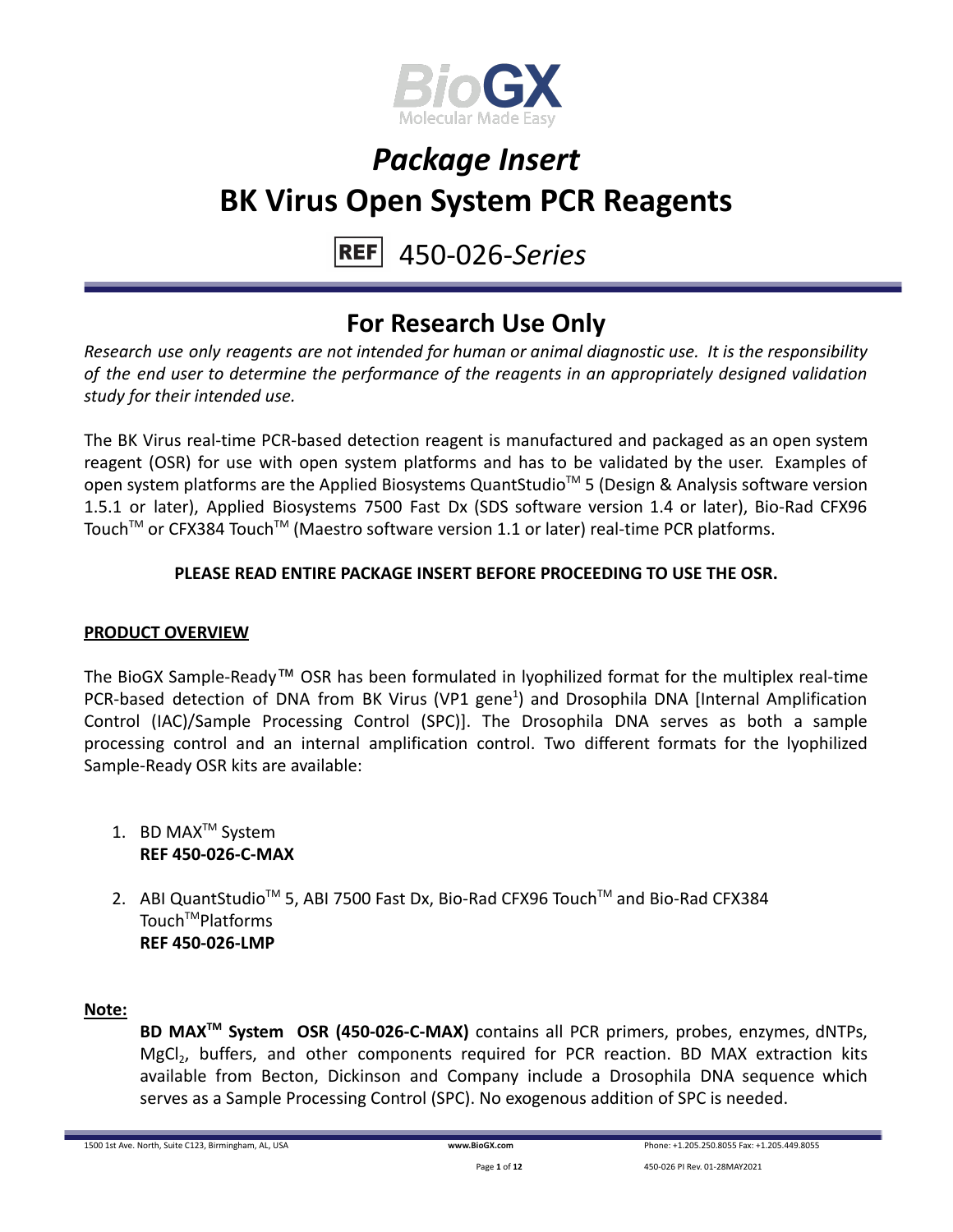

#### 450-026-*Series* **REFI**

### **For Research Use Only**

*Research use only reagents are not intended for human or animal diagnostic use. It is the responsibility of the end user to determine the performance of the reagents in an appropriately designed validation study for their intended use.*

The BK Virus real-time PCR-based detection reagent is manufactured and packaged as an open system reagent (OSR) for use with open system platforms and has to be validated by the user. Examples of open system platforms are the Applied Biosystems QuantStudio<sup>™</sup> 5 (Design & Analysis software version 1.5.1 or later), Applied Biosystems 7500 Fast Dx (SDS software version 1.4 or later), Bio-Rad CFX96 Touch™ or CFX384 Touch™ (Maestro software version 1.1 or later) real-time PCR platforms.

### **PLEASE READ ENTIRE PACKAGE INSERT BEFORE PROCEEDING TO USE THE OSR.**

### **PRODUCT OVERVIEW**

The BioGX Sample-Ready™ OSR has been formulated in lyophilized format for the multiplex real-time PCR-based detection of DNA from BK Virus (VP1 gene<sup>1</sup>) and Drosophila DNA [Internal Amplification Control (IAC)/Sample Processing Control (SPC)]. The Drosophila DNA serves as both a sample processing control and an internal amplification control. Two different formats for the lyophilized Sample-Ready OSR kits are available:

- 1. BD MAX<sup>™</sup> System **REF 450-026-C-MAX**
- 2. ABI QuantStudio<sup>™</sup> 5, ABI 7500 Fast Dx, Bio-Rad CFX96 Touch™ and Bio-Rad CFX384 Touch<sup>™</sup>Platforms **REF 450-026-LMP**

#### **Note:**

**BD MAXTM System OSR (450-026-C-MAX)** contains all PCR primers, probes, enzymes, dNTPs, MgCl<sub>2</sub>, buffers, and other components required for PCR reaction. BD MAX extraction kits available from Becton, Dickinson and Company include a Drosophila DNA sequence which serves as a Sample Processing Control (SPC). No exogenous addition of SPC is needed.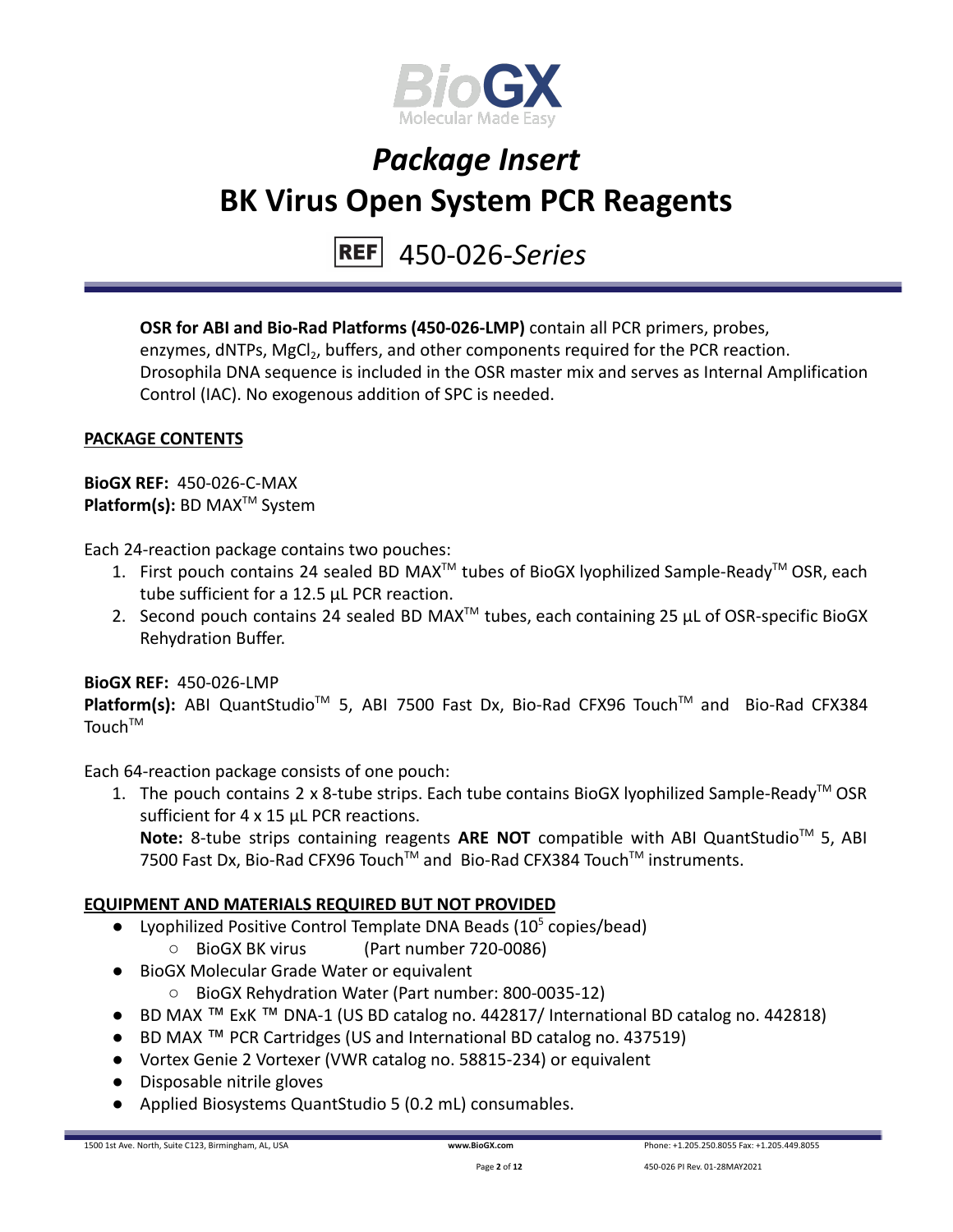

## 450-026-*Series*

**OSR for ABI and Bio-Rad Platforms (450-026-LMP)** contain all PCR primers, probes, enzymes, dNTPs, MgCl<sub>2</sub>, buffers, and other components required for the PCR reaction. Drosophila DNA sequence is included in the OSR master mix and serves as Internal Amplification Control (IAC). No exogenous addition of SPC is needed.

### **PACKAGE CONTENTS**

**BioGX REF:** 450-026-C-MAX **Platform(s):** BD MAX<sup>™</sup> System

Each 24-reaction package contains two pouches:

- 1. First pouch contains 24 sealed BD MAX<sup>™</sup> tubes of BioGX lyophilized Sample-Ready<sup>™</sup> OSR, each tube sufficient for a 12.5 µL PCR reaction.
- 2. Second pouch contains 24 sealed BD MAX<sup>™</sup> tubes, each containing 25  $\mu$ L of OSR-specific BioGX Rehydration Buffer.

#### **BioGX REF:** 450-026-LMP

Platform(s): ABI QuantStudio<sup>™</sup> 5, ABI 7500 Fast Dx, Bio-Rad CFX96 Touch<sup>™</sup> and Bio-Rad CFX384 Touch<sup>TM</sup>

Each 64-reaction package consists of one pouch:

1. The pouch contains 2 x 8-tube strips. Each tube contains BioGX lyophilized Sample-Ready<sup>TM</sup> OSR sufficient for 4 x 15 uL PCR reactions. Note: 8-tube strips containing reagents ARE NOT compatible with ABI QuantStudio<sup>™</sup> 5, ABI 7500 Fast Dx, Bio-Rad CFX96 Touch™ and Bio-Rad CFX384 Touch™ instruments.

#### **EQUIPMENT AND MATERIALS REQUIRED BUT NOT PROVIDED**

- Lyophilized Positive Control Template DNA Beads  $(10^5 \text{ copies/head})$ 
	- BioGX BK virus (Part number 720-0086)
- BioGX Molecular Grade Water or equivalent
	- BioGX Rehydration Water (Part number: 800-0035-12)
- BD MAX ™ ExK ™ DNA-1 (US BD catalog no. 442817/ International BD catalog no. 442818)
- BD MAX ™ PCR Cartridges (US and International BD catalog no. 437519)
- Vortex Genie 2 Vortexer (VWR catalog no. 58815-234) or equivalent
- Disposable nitrile gloves
- Applied Biosystems QuantStudio 5 (0.2 mL) consumables.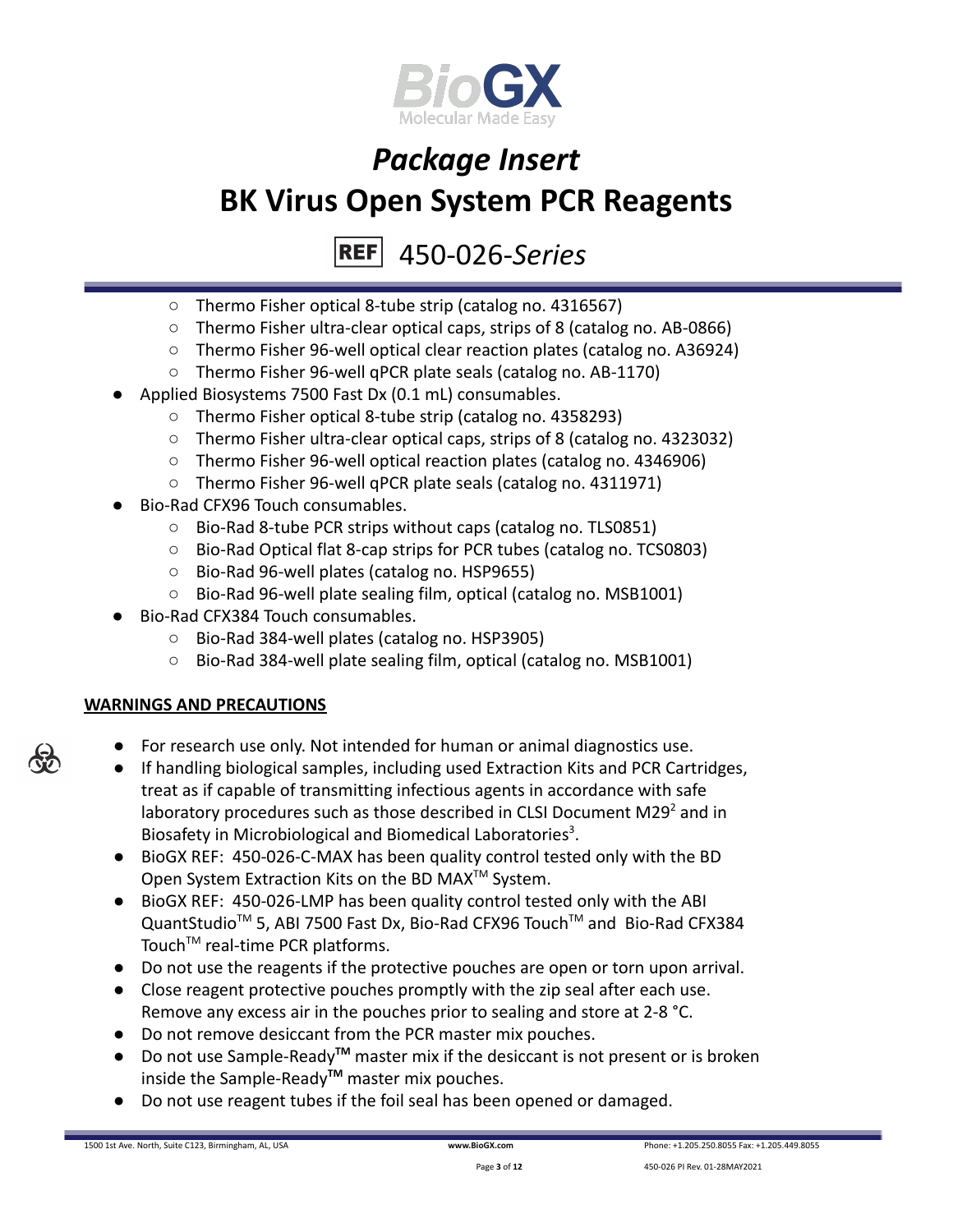

#### 450-026-*Series* **REFI**

- Thermo Fisher optical 8-tube strip (catalog no. 4316567)
- Thermo Fisher ultra-clear optical caps, strips of 8 (catalog no. AB-0866)
- Thermo Fisher 96-well optical clear reaction plates (catalog no. A36924)
- Thermo Fisher 96-well qPCR plate seals (catalog no. AB-1170)
- Applied Biosystems 7500 Fast Dx (0.1 mL) consumables.
	- Thermo Fisher optical 8-tube strip (catalog no. 4358293)
	- Thermo Fisher ultra-clear optical caps, strips of 8 (catalog no. 4323032)
	- Thermo Fisher 96-well optical reaction plates (catalog no. 4346906)
	- Thermo Fisher 96-well qPCR plate seals (catalog no. 4311971)
- Bio-Rad CFX96 Touch consumables.
	- Bio-Rad 8-tube PCR strips without caps (catalog no. TLS0851)
	- Bio-Rad Optical flat 8-cap strips for PCR tubes (catalog no. TCS0803)
	- Bio-Rad 96-well plates (catalog no. HSP9655)
	- Bio-Rad 96-well plate sealing film, optical (catalog no. MSB1001)
- Bio-Rad CFX384 Touch consumables.
	- Bio-Rad 384-well plates (catalog no. HSP3905)
	- Bio-Rad 384-well plate sealing film, optical (catalog no. MSB1001)

### **WARNINGS AND PRECAUTIONS**

- For research use only. Not intended for human or animal diagnostics use.
- If handling biological samples, including used Extraction Kits and PCR Cartridges, treat as if capable of transmitting infectious agents in accordance with safe laboratory procedures such as those described in CLSI Document M29 $2$  and in Biosafety in Microbiological and Biomedical Laboratories<sup>3</sup>.
- BioGX REF: 450-026-C-MAX has been quality control tested only with the BD Open System Extraction Kits on the BD MAX<sup>™</sup> System.
- BioGX REF: 450-026-LMP has been quality control tested only with the ABI QuantStudio<sup>™</sup> 5, ABI 7500 Fast Dx, Bio-Rad CFX96 Touch™ and Bio-Rad CFX384 Touch<sup>™</sup> real-time PCR platforms.
- Do not use the reagents if the protective pouches are open or torn upon arrival.
- Close reagent protective pouches promptly with the zip seal after each use. Remove any excess air in the pouches prior to sealing and store at 2-8 °C.
- Do not remove desiccant from the PCR master mix pouches.
- Do not use Sample-Ready**TM** master mix if the desiccant is not present or is broken inside the Sample-Ready**TM** master mix pouches.
- Do not use reagent tubes if the foil seal has been opened or damaged.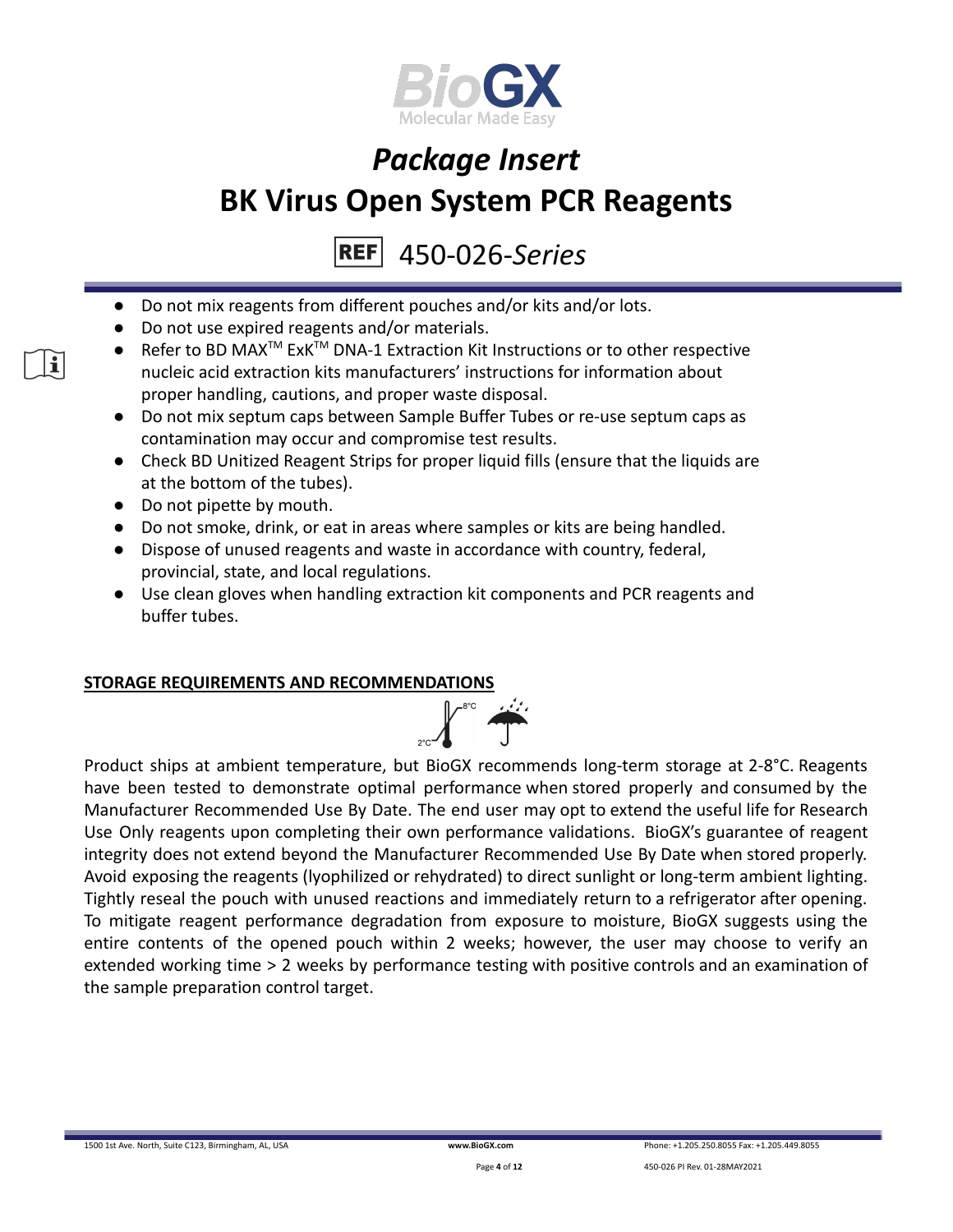

450-026-*Series* **REF** 

- Do not mix reagents from different pouches and/or kits and/or lots.
- Do not use expired reagents and/or materials.
- Refer to BD MAX<sup>™</sup> ExK<sup>™</sup> DNA-1 Extraction Kit Instructions or to other respective nucleic acid extraction kits manufacturers' instructions for information about proper handling, cautions, and proper waste disposal.
- Do not mix septum caps between Sample Buffer Tubes or re-use septum caps as contamination may occur and compromise test results.
- Check BD Unitized Reagent Strips for proper liquid fills (ensure that the liquids are at the bottom of the tubes).
- Do not pipette by mouth.
- Do not smoke, drink, or eat in areas where samples or kits are being handled.
- Dispose of unused reagents and waste in accordance with country, federal, provincial, state, and local regulations.
- Use clean gloves when handling extraction kit components and PCR reagents and buffer tubes.

#### **STORAGE REQUIREMENTS AND RECOMMENDATIONS**



Product ships at ambient temperature, but BioGX recommends long-term storage at 2-8°C. Reagents have been tested to demonstrate optimal performance when stored properly and consumed by the Manufacturer Recommended Use By Date. The end user may opt to extend the useful life for Research Use Only reagents upon completing their own performance validations. BioGX's guarantee of reagent integrity does not extend beyond the Manufacturer Recommended Use By Date when stored properly. Avoid exposing the reagents (lyophilized or rehydrated) to direct sunlight or long-term ambient lighting. Tightly reseal the pouch with unused reactions and immediately return to a refrigerator after opening. To mitigate reagent performance degradation from exposure to moisture, BioGX suggests using the entire contents of the opened pouch within 2 weeks; however, the user may choose to verify an extended working time > 2 weeks by performance testing with positive controls and an examination of the sample preparation control target.

1500 1st Ave. North, Suite C123, Birmingham, AL, USA **[www.BioGX.com](http://www.biogx.com/eu)** Phone: +1.205.250.8055 Fax: +1.205.449.8055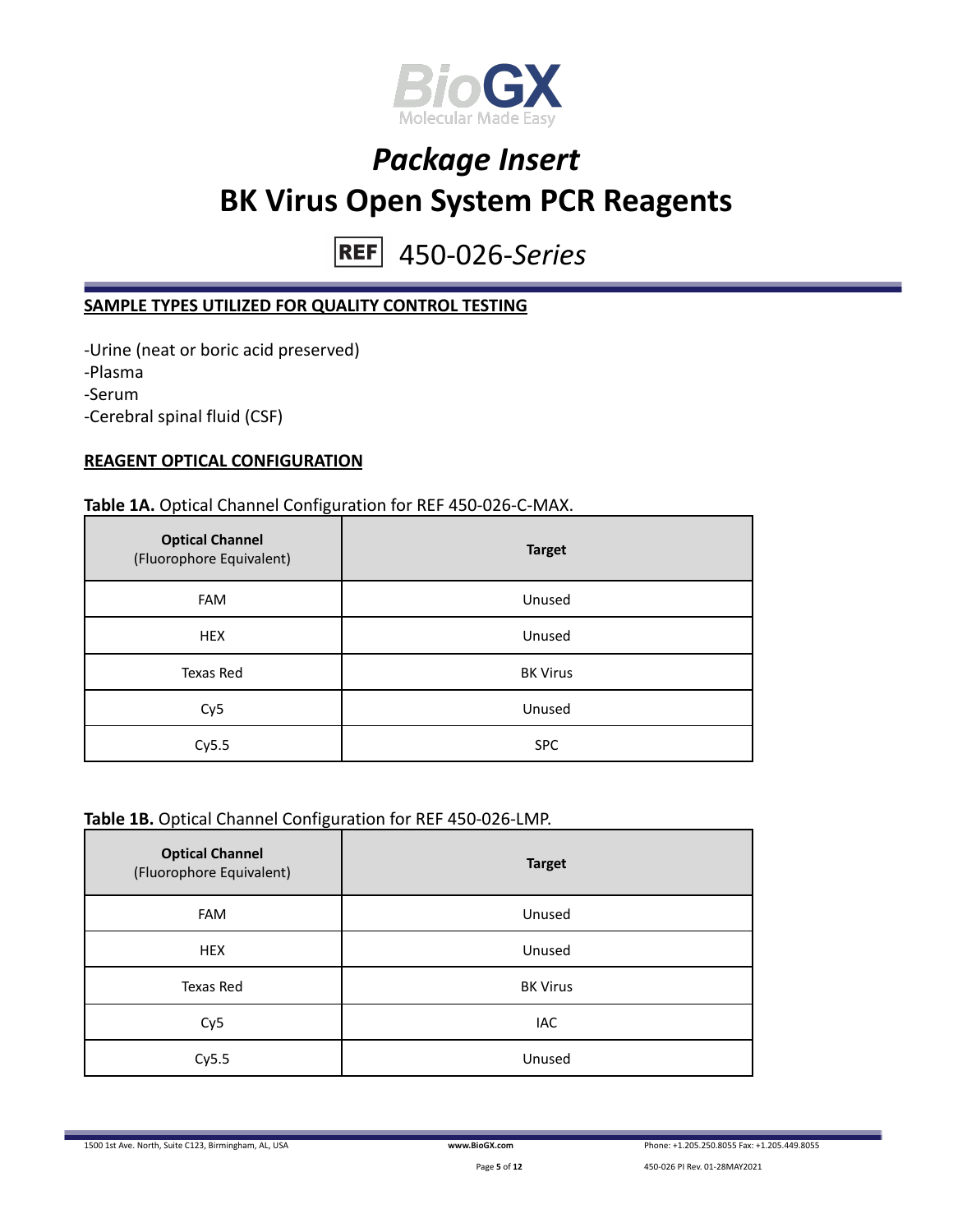

450-026-*Series*  $REF$ 

### **SAMPLE TYPES UTILIZED FOR QUALITY CONTROL TESTING**

-Urine (neat or boric acid preserved) -Plasma -Serum -Cerebral spinal fluid (CSF)

#### **REAGENT OPTICAL CONFIGURATION**

#### **Table 1A.** Optical Channel Configuration for REF 450-026-C-MAX.

| <b>Optical Channel</b><br>(Fluorophore Equivalent) | <b>Target</b>   |
|----------------------------------------------------|-----------------|
| <b>FAM</b>                                         | Unused          |
| <b>HEX</b>                                         | Unused          |
| Texas Red                                          | <b>BK Virus</b> |
| Cy <sub>5</sub>                                    | Unused          |
| Cy5.5                                              | <b>SPC</b>      |

#### **Table 1B.** Optical Channel Configuration for REF 450-026-LMP.

| <b>Optical Channel</b><br>(Fluorophore Equivalent) | <b>Target</b>   |
|----------------------------------------------------|-----------------|
| <b>FAM</b>                                         | Unused          |
| <b>HEX</b>                                         | Unused          |
| Texas Red                                          | <b>BK Virus</b> |
| Cy <sub>5</sub>                                    | IAC             |
| Cy5.5                                              | Unused          |

1500 1st Ave. North, Suite C123, Birmingham, AL, USA **[www.BioGX.com](http://www.biogx.com/eu)** Phone: +1.205.250.8055 Fax: +1.205.449.8055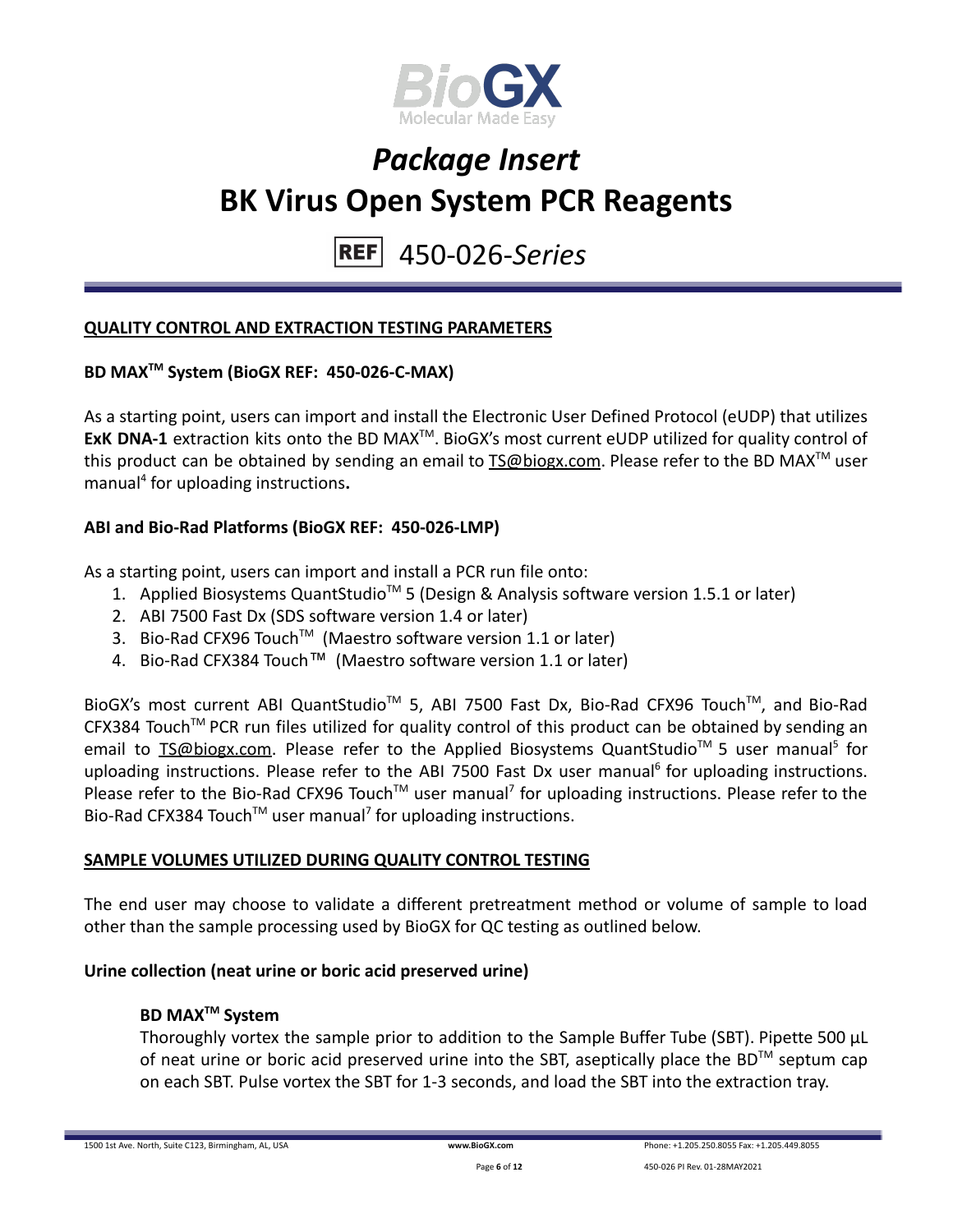

#### 450-026-*Series* **REF**

### **QUALITY CONTROL AND EXTRACTION TESTING PARAMETERS**

### **BD MAXTM System (BioGX REF: 450-026-C-MAX)**

As a starting point, users can import and install the Electronic User Defined Protocol (eUDP) that utilizes ExK DNA-1 extraction kits onto the BD MAX<sup>™</sup>. BioGX's most current eUDP utilized for quality control of this product can be obtained by sending an email to **[TS@biogx.com](mailto:TS@biogx.com)**. Please refer to the BD MAX<sup>™</sup> user manual<sup>4</sup> for uploading instructions**.**

### **ABI and Bio-Rad Platforms (BioGX REF: 450-026-LMP)**

As a starting point, users can import and install a PCR run file onto:

- 1. Applied Biosystems QuantStudio<sup>™</sup> 5 (Design & Analysis software version 1.5.1 or later)
- 2. ABI 7500 Fast Dx (SDS software version 1.4 or later)
- 3. Bio-Rad CFX96 Touch<sup>™</sup> (Maestro software version 1.1 or later)
- 4. Bio-Rad CFX384 Touch™ (Maestro software version 1.1 or later)

BioGX's most current ABI QuantStudio<sup>™</sup> 5, ABI 7500 Fast Dx, Bio-Rad CFX96 Touch™, and Bio-Rad CFX384 Touch™ PCR run files utilized for quality control of this product can be obtained by sending an email to **[TS@biogx.com.](mailto:TS@biogx.com)** Please refer to the Applied Biosystems QuantStudio<sup>™</sup> 5 user manual<sup>5</sup> for uploading instructions. Please refer to the ABI 7500 Fast Dx user manual<sup>6</sup> for uploading instructions. Please refer to the Bio-Rad CFX96 Touch<sup>™</sup> user manual<sup>7</sup> for uploading instructions. Please refer to the Bio-Rad CFX384 Touch<sup>™</sup> user manual<sup>7</sup> for uploading instructions.

### **SAMPLE VOLUMES UTILIZED DURING QUALITY CONTROL TESTING**

The end user may choose to validate a different pretreatment method or volume of sample to load other than the sample processing used by BioGX for QC testing as outlined below.

#### **Urine collection (neat urine or boric acid preserved urine)**

#### **BD MAXTM System**

Thoroughly vortex the sample prior to addition to the Sample Buffer Tube (SBT). Pipette 500 μL of neat urine or boric acid preserved urine into the SBT, aseptically place the BD<sup>TM</sup> septum cap on each SBT. Pulse vortex the SBT for 1-3 seconds, and load the SBT into the extraction tray.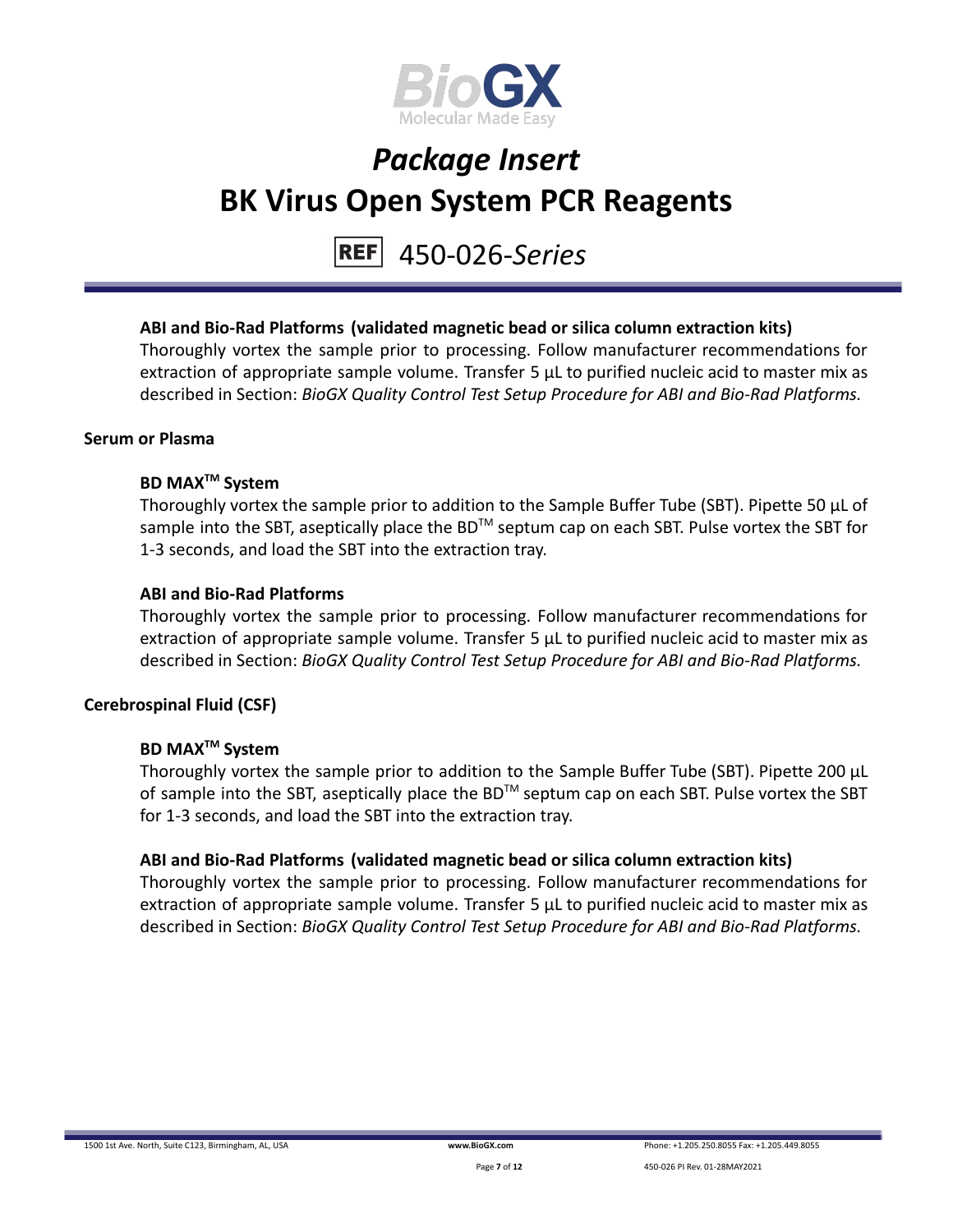

#### 450-026-*Series* **REF**

### **ABI and Bio-Rad Platforms (validated magnetic bead or silica column extraction kits)**

Thoroughly vortex the sample prior to processing. Follow manufacturer recommendations for extraction of appropriate sample volume. Transfer 5 μL to purified nucleic acid to master mix as described in Section: *BioGX Quality Control Test Setup Procedure for ABI and Bio-Rad Platforms.*

#### **Serum or Plasma**

### **BD MAXTM System**

Thoroughly vortex the sample prior to addition to the Sample Buffer Tube (SBT). Pipette 50 μL of sample into the SBT, aseptically place the BD<sup>™</sup> septum cap on each SBT. Pulse vortex the SBT for 1-3 seconds, and load the SBT into the extraction tray.

#### **ABI and Bio-Rad Platforms**

Thoroughly vortex the sample prior to processing. Follow manufacturer recommendations for extraction of appropriate sample volume. Transfer 5 μL to purified nucleic acid to master mix as described in Section: *BioGX Quality Control Test Setup Procedure for ABI and Bio-Rad Platforms.*

### **Cerebrospinal Fluid (CSF)**

#### **BD MAXTM System**

Thoroughly vortex the sample prior to addition to the Sample Buffer Tube (SBT). Pipette 200 μL of sample into the SBT, aseptically place the BD<sup>TM</sup> septum cap on each SBT. Pulse vortex the SBT for 1-3 seconds, and load the SBT into the extraction tray.

#### **ABI and Bio-Rad Platforms (validated magnetic bead or silica column extraction kits)**

Thoroughly vortex the sample prior to processing. Follow manufacturer recommendations for extraction of appropriate sample volume. Transfer 5 μL to purified nucleic acid to master mix as described in Section: *BioGX Quality Control Test Setup Procedure for ABI and Bio-Rad Platforms.*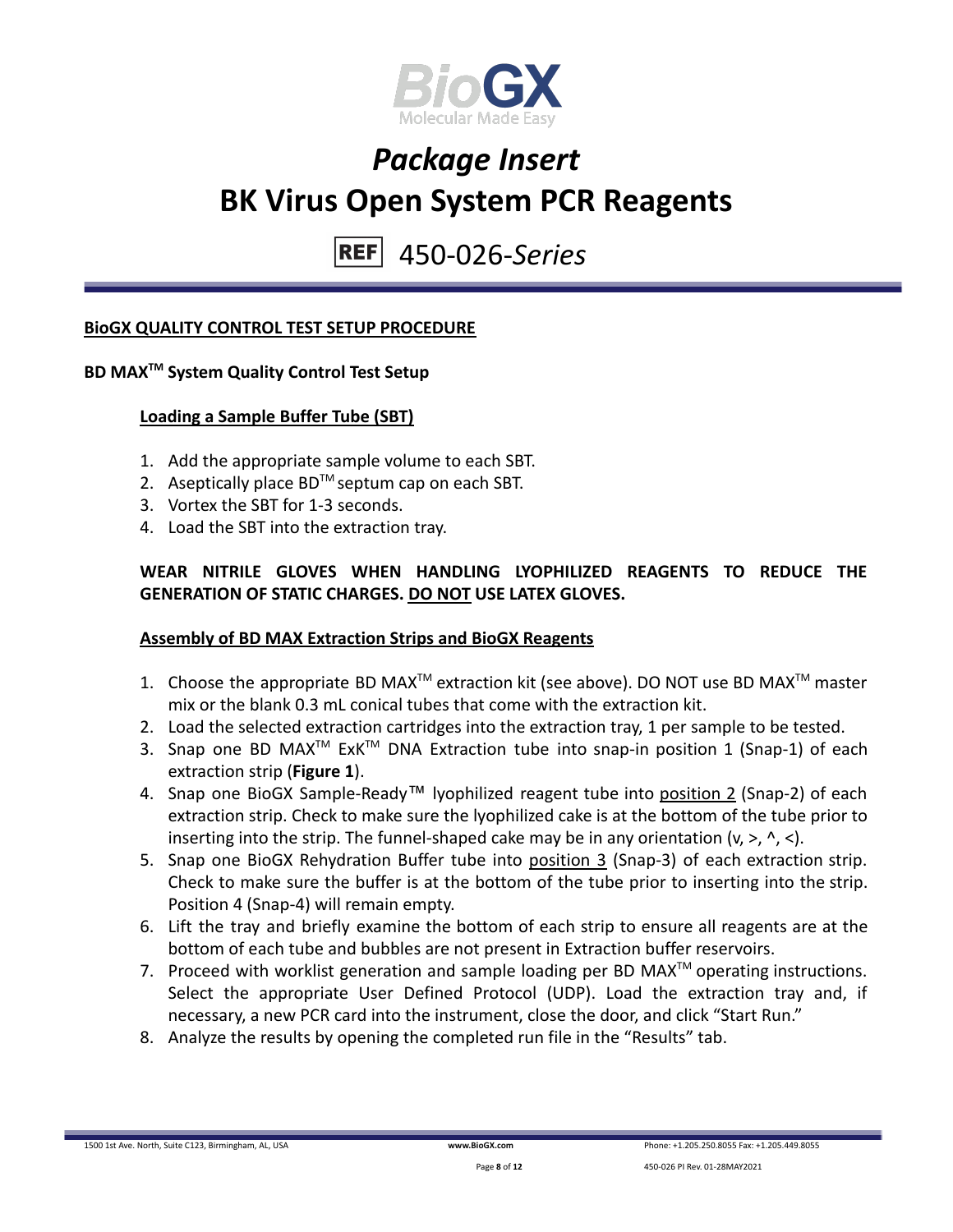

#### 450-026-*Series* **REF**

### **BioGX QUALITY CONTROL TEST SETUP PROCEDURE**

### **BD MAXTM System Quality Control Test Setup**

### **Loading a Sample Buffer Tube (SBT)**

- 1. Add the appropriate sample volume to each SBT.
- 2. Aseptically place  $BD^{TM}$  septum cap on each SBT.
- 3. Vortex the SBT for 1-3 seconds.
- 4. Load the SBT into the extraction tray.

### **WEAR NITRILE GLOVES WHEN HANDLING LYOPHILIZED REAGENTS TO REDUCE THE GENERATION OF STATIC CHARGES. DO NOT USE LATEX GLOVES.**

#### **Assembly of BD MAX Extraction Strips and BioGX Reagents**

- 1. Choose the appropriate BD MAX<sup>TM</sup> extraction kit (see above). DO NOT use BD MAX<sup>TM</sup> master mix or the blank 0.3 mL conical tubes that come with the extraction kit.
- 2. Load the selected extraction cartridges into the extraction tray, 1 per sample to be tested.
- 3. Snap one BD MAX<sup>™</sup> ExK<sup>™</sup> DNA Extraction tube into snap-in position 1 (Snap-1) of each extraction strip (**Figure 1**).
- 4. Snap one BioGX Sample-Ready™ lyophilized reagent tube into position 2 (Snap-2) of each extraction strip. Check to make sure the lyophilized cake is at the bottom of the tube prior to inserting into the strip. The funnel-shaped cake may be in any orientation  $(v, >, \land, <)$ .
- 5. Snap one BioGX Rehydration Buffer tube into position 3 (Snap-3) of each extraction strip. Check to make sure the buffer is at the bottom of the tube prior to inserting into the strip. Position 4 (Snap-4) will remain empty.
- 6. Lift the tray and briefly examine the bottom of each strip to ensure all reagents are at the bottom of each tube and bubbles are not present in Extraction buffer reservoirs.
- 7. Proceed with worklist generation and sample loading per BD MAX $^{TM}$  operating instructions. Select the appropriate User Defined Protocol (UDP). Load the extraction tray and, if necessary, a new PCR card into the instrument, close the door, and click "Start Run."
- 8. Analyze the results by opening the completed run file in the "Results" tab.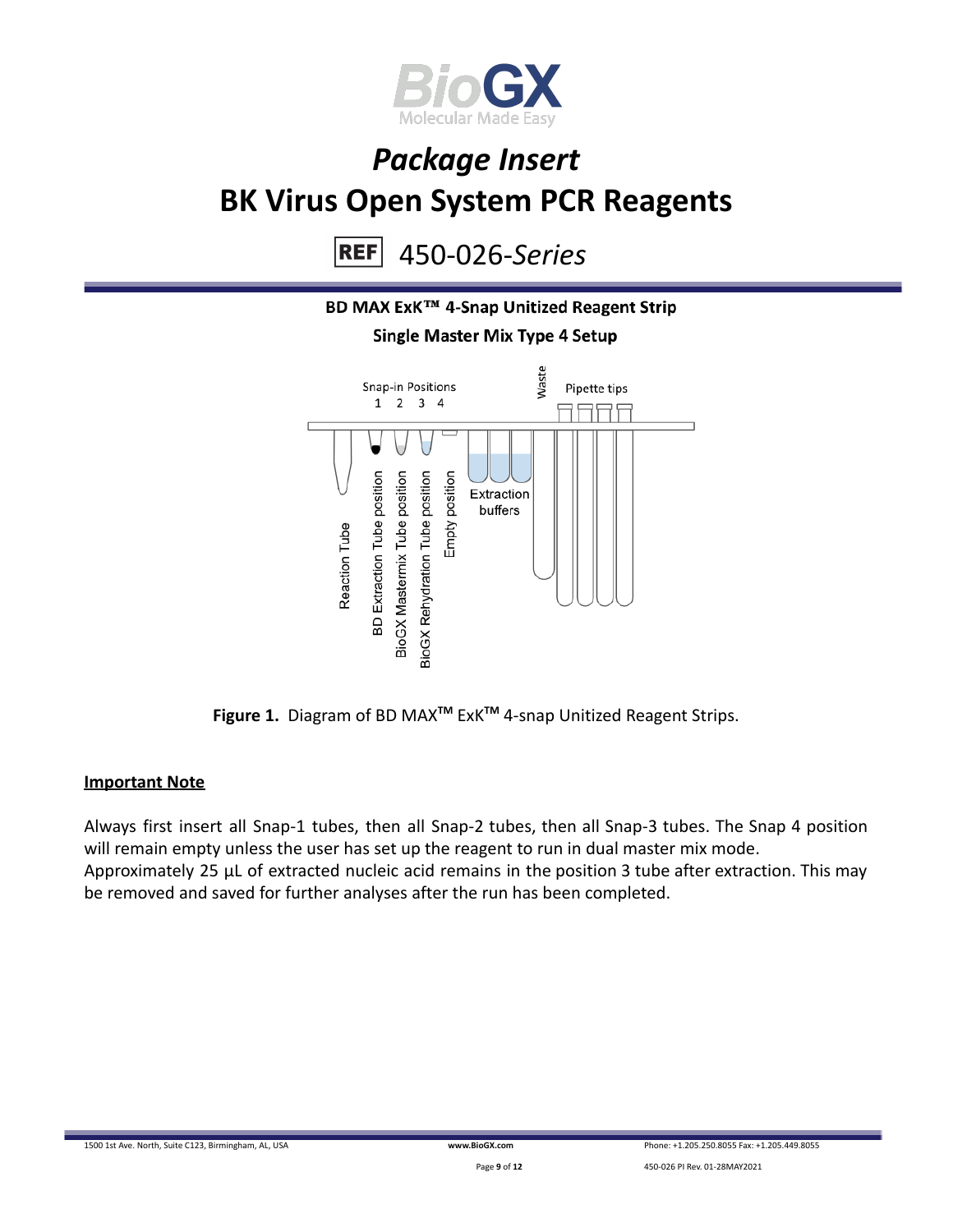

450-026-*Series* **REF** 



**Figure 1.** Diagram of BD MAX**TM** ExK**TM** 4-snap Unitized Reagent Strips.

#### **Important Note**

Always first insert all Snap-1 tubes, then all Snap-2 tubes, then all Snap-3 tubes. The Snap 4 position will remain empty unless the user has set up the reagent to run in dual master mix mode. Approximately 25 µL of extracted nucleic acid remains in the position 3 tube after extraction. This may be removed and saved for further analyses after the run has been completed.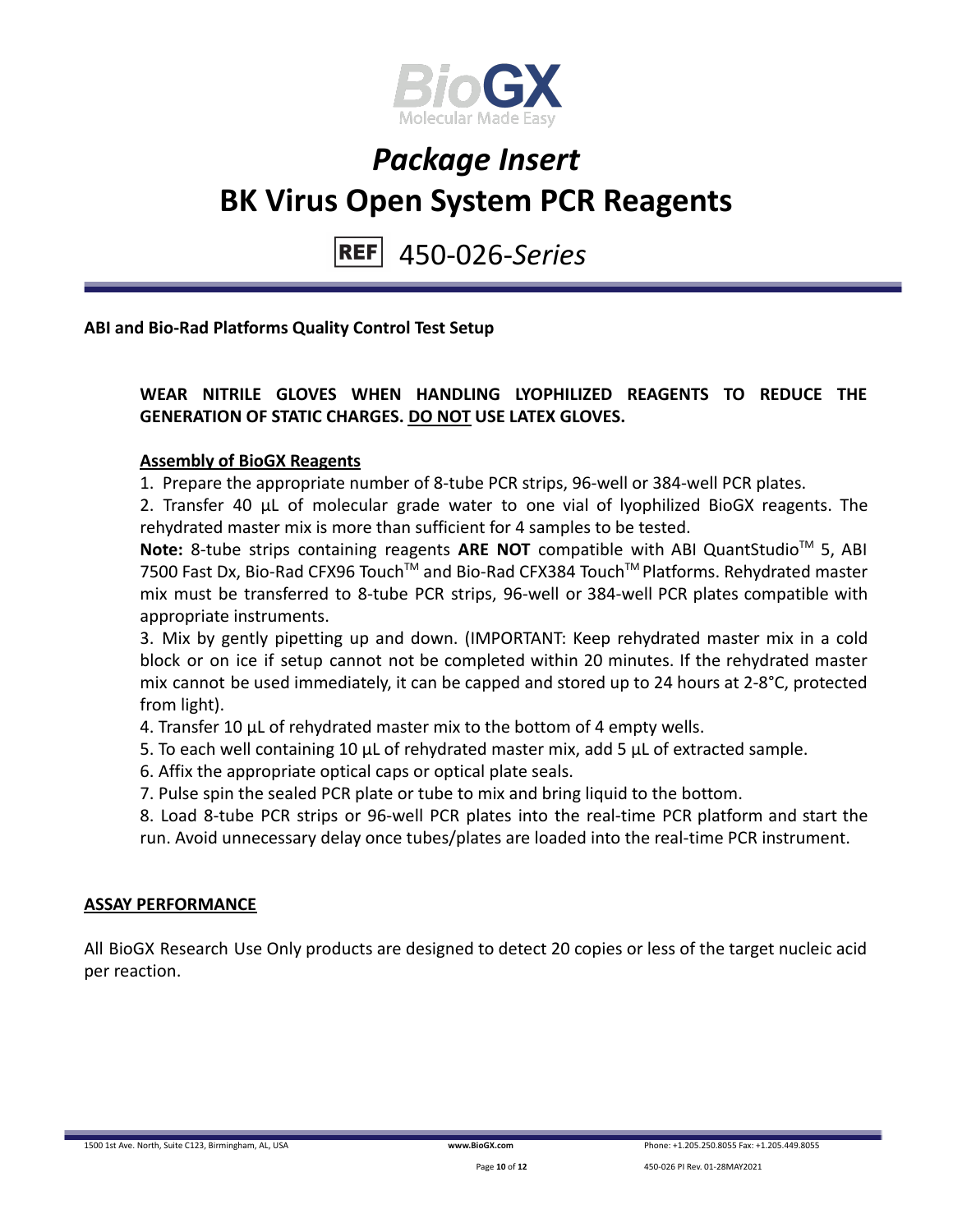

450-026-*Series* **REFI** 

**ABI and Bio-Rad Platforms Quality Control Test Setup**

### **WEAR NITRILE GLOVES WHEN HANDLING LYOPHILIZED REAGENTS TO REDUCE THE GENERATION OF STATIC CHARGES. DO NOT USE LATEX GLOVES.**

#### **Assembly of BioGX Reagents**

1. Prepare the appropriate number of 8-tube PCR strips, 96-well or 384-well PCR plates.

2. Transfer 40 μL of molecular grade water to one vial of lyophilized BioGX reagents. The rehydrated master mix is more than sufficient for 4 samples to be tested.

Note: 8-tube strips containing reagents ARE NOT compatible with ABI QuantStudio<sup>™</sup> 5, ABI 7500 Fast Dx, Bio-Rad CFX96 Touch™ and Bio-Rad CFX384 Touch™ Platforms. Rehydrated master mix must be transferred to 8-tube PCR strips, 96-well or 384-well PCR plates compatible with appropriate instruments.

3. Mix by gently pipetting up and down. (IMPORTANT: Keep rehydrated master mix in a cold block or on ice if setup cannot not be completed within 20 minutes. If the rehydrated master mix cannot be used immediately, it can be capped and stored up to 24 hours at 2-8°C, protected from light).

4. Transfer 10 μL of rehydrated master mix to the bottom of 4 empty wells.

5. To each well containing 10 μL of rehydrated master mix, add 5 μL of extracted sample.

- 6. Affix the appropriate optical caps or optical plate seals.
- 7. Pulse spin the sealed PCR plate or tube to mix and bring liquid to the bottom.

8. Load 8-tube PCR strips or 96-well PCR plates into the real-time PCR platform and start the run. Avoid unnecessary delay once tubes/plates are loaded into the real-time PCR instrument.

#### **ASSAY PERFORMANCE**

All BioGX Research Use Only products are designed to detect 20 copies or less of the target nucleic acid per reaction.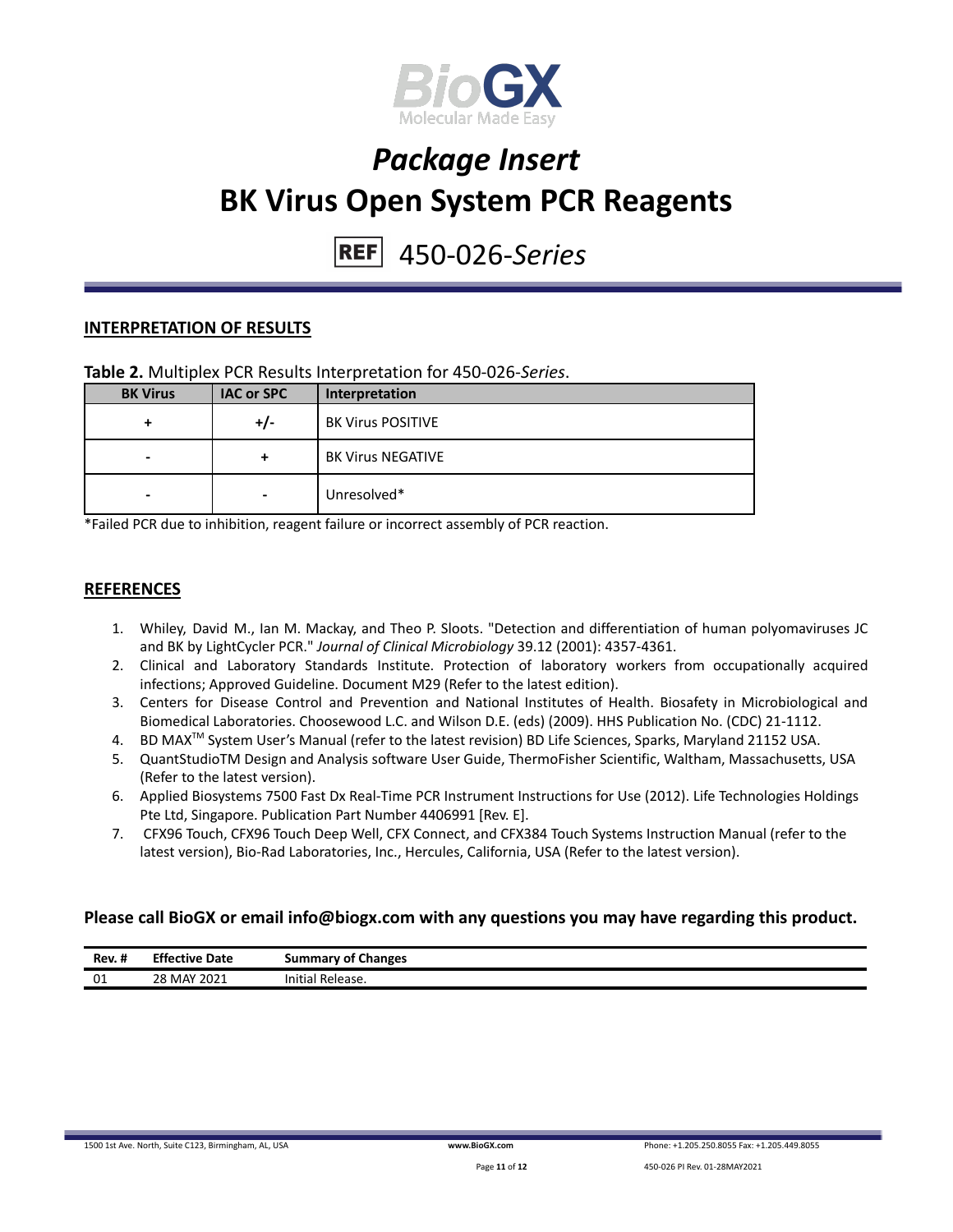

#### 450-026-*Series* **REFI**

#### **INTERPRETATION OF RESULTS**

#### **Table 2.** Multiplex PCR Results Interpretation for 450-026-*Series*.

| <b>BK Virus</b> | <b>IAC or SPC</b>        | Interpretation           |
|-----------------|--------------------------|--------------------------|
|                 | +/-                      | <b>BK Virus POSITIVE</b> |
| -               | +                        | <b>BK Virus NEGATIVE</b> |
| -               | $\overline{\phantom{a}}$ | Unresolved*              |

\*Failed PCR due to inhibition, reagent failure or incorrect assembly of PCR reaction.

#### **REFERENCES**

- 1. Whiley, David M., Ian M. Mackay, and Theo P. Sloots. "Detection and differentiation of human polyomaviruses JC and BK by LightCycler PCR." *Journal of Clinical Microbiology* 39.12 (2001): 4357-4361.
- 2. Clinical and Laboratory Standards Institute. Protection of laboratory workers from occupationally acquired infections; Approved Guideline. Document M29 (Refer to the latest edition).
- 3. Centers for Disease Control and Prevention and National Institutes of Health. Biosafety in Microbiological and Biomedical Laboratories. Choosewood L.C. and Wilson D.E. (eds) (2009). HHS Publication No. (CDC) 21-1112.
- 4. BD MAX<sup>™</sup> System User's Manual (refer to the latest revision) BD Life Sciences, Sparks, Maryland 21152 USA.
- 5. QuantStudioTM Design and Analysis software User Guide, ThermoFisher Scientific, Waltham, Massachusetts, USA (Refer to the latest version).
- 6. Applied Biosystems 7500 Fast Dx Real-Time PCR Instrument Instructions for Use (2012). Life Technologies Holdings Pte Ltd, Singapore. Publication Part Number 4406991 [Rev. E].
- 7. CFX96 Touch, CFX96 Touch Deep Well, CFX Connect, and CFX384 Touch Systems Instruction Manual (refer to the latest version), Bio-Rad Laboratories, Inc., Hercules, California, USA (Refer to the latest version).

#### **Please call BioGX or email info@biogx.com with any questions you may have regarding this product.**

| -88<br>Rev. # | <b>Effective Date</b> | <b>Summary of Changes</b> |
|---------------|-----------------------|---------------------------|
| 01            | 28 MAY 2021           | Initial<br>' Release.     |

1500 1st Ave. North, Suite C123, Birmingham, AL, USA **[www.BioGX.com](http://www.biogx.com/eu)** Phone: +1.205.250.8055 Fax: +1.205.449.8055